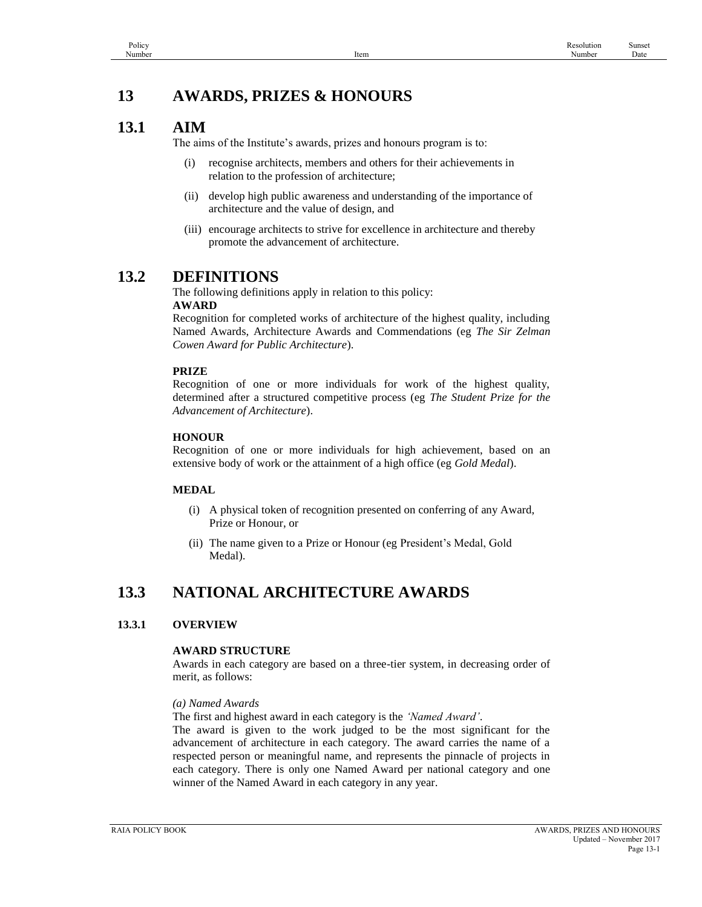# **13 AWARDS, PRIZES & HONOURS**

# **13.1 AIM**

The aims of the Institute's awards, prizes and honours program is to:

- (i) recognise architects, members and others for their achievements in relation to the profession of architecture;
- (ii) develop high public awareness and understanding of the importance of architecture and the value of design, and
- (iii) encourage architects to strive for excellence in architecture and thereby promote the advancement of architecture.

## **13.2 DEFINITIONS**

The following definitions apply in relation to this policy:

## **AWARD**

Recognition for completed works of architecture of the highest quality, including Named Awards, Architecture Awards and Commendations (eg *The Sir Zelman Cowen Award for Public Architecture*).

## **PRIZE**

Recognition of one or more individuals for work of the highest quality, determined after a structured competitive process (eg *The Student Prize for the Advancement of Architecture*).

## **HONOUR**

Recognition of one or more individuals for high achievement, based on an extensive body of work or the attainment of a high office (eg *Gold Medal*).

## **MEDAL**

- (i) A physical token of recognition presented on conferring of any Award, Prize or Honour, or
- (ii) The name given to a Prize or Honour (eg President's Medal, Gold Medal).

# **13.3 NATIONAL ARCHITECTURE AWARDS**

## **13.3.1 OVERVIEW**

## **AWARD STRUCTURE**

Awards in each category are based on a three-tier system, in decreasing order of merit, as follows:

## *(a) Named Awards*

The first and highest award in each category is the *'Named Award'*.

The award is given to the work judged to be the most significant for the advancement of architecture in each category. The award carries the name of a respected person or meaningful name, and represents the pinnacle of projects in each category. There is only one Named Award per national category and one winner of the Named Award in each category in any year.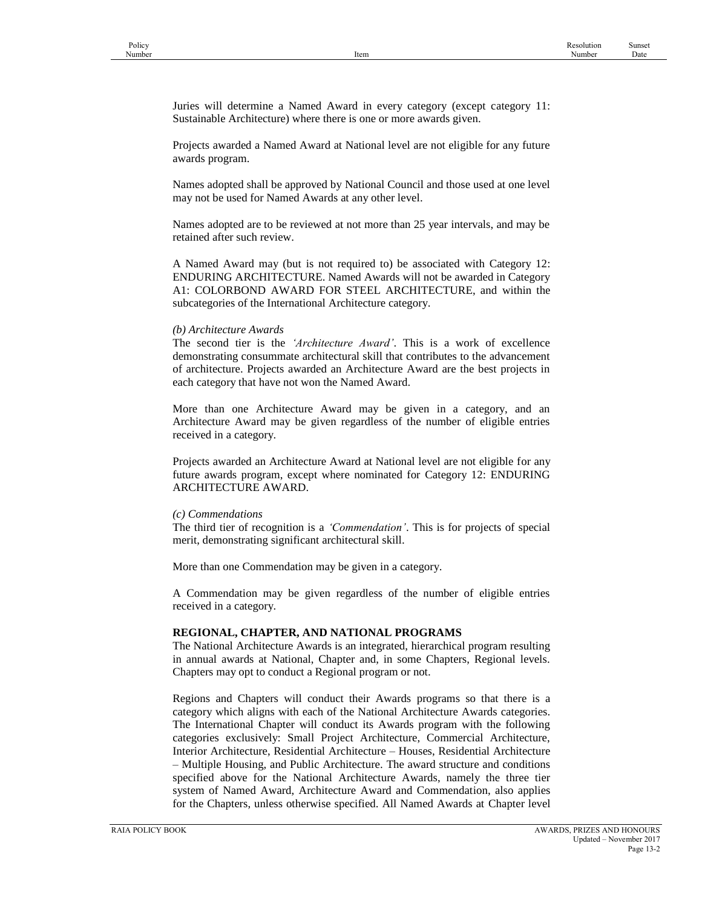Juries will determine a Named Award in every category (except category 11: Sustainable Architecture) where there is one or more awards given.

Projects awarded a Named Award at National level are not eligible for any future awards program.

Names adopted shall be approved by National Council and those used at one level may not be used for Named Awards at any other level.

Names adopted are to be reviewed at not more than 25 year intervals, and may be retained after such review.

A Named Award may (but is not required to) be associated with Category 12: ENDURING ARCHITECTURE. Named Awards will not be awarded in Category A1: COLORBOND AWARD FOR STEEL ARCHITECTURE, and within the subcategories of the International Architecture category.

#### *(b) Architecture Awards*

The second tier is the *'Architecture Award'*. This is a work of excellence demonstrating consummate architectural skill that contributes to the advancement of architecture. Projects awarded an Architecture Award are the best projects in each category that have not won the Named Award.

More than one Architecture Award may be given in a category, and an Architecture Award may be given regardless of the number of eligible entries received in a category.

Projects awarded an Architecture Award at National level are not eligible for any future awards program, except where nominated for Category 12: ENDURING ARCHITECTURE AWARD.

#### *(c) Commendations*

The third tier of recognition is a *'Commendation'*. This is for projects of special merit, demonstrating significant architectural skill.

More than one Commendation may be given in a category.

A Commendation may be given regardless of the number of eligible entries received in a category.

#### **REGIONAL, CHAPTER, AND NATIONAL PROGRAMS**

The National Architecture Awards is an integrated, hierarchical program resulting in annual awards at National, Chapter and, in some Chapters, Regional levels. Chapters may opt to conduct a Regional program or not.

Regions and Chapters will conduct their Awards programs so that there is a category which aligns with each of the National Architecture Awards categories. The International Chapter will conduct its Awards program with the following categories exclusively: Small Project Architecture, Commercial Architecture, Interior Architecture, Residential Architecture – Houses, Residential Architecture – Multiple Housing, and Public Architecture. The award structure and conditions specified above for the National Architecture Awards, namely the three tier system of Named Award, Architecture Award and Commendation, also applies for the Chapters, unless otherwise specified. All Named Awards at Chapter level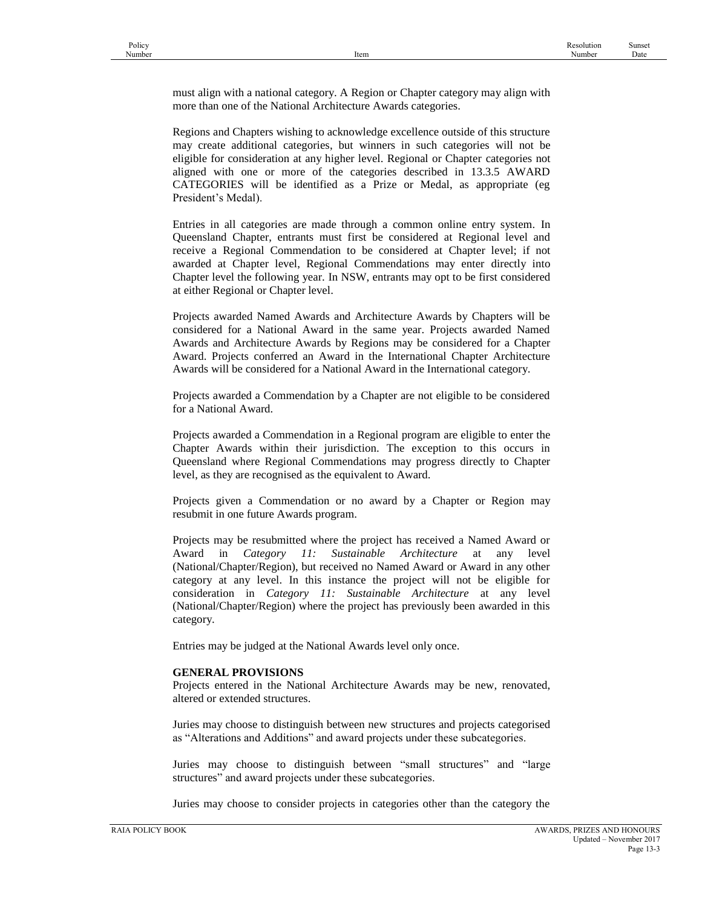must align with a national category. A Region or Chapter category may align with more than one of the National Architecture Awards categories.

Regions and Chapters wishing to acknowledge excellence outside of this structure may create additional categories, but winners in such categories will not be eligible for consideration at any higher level. Regional or Chapter categories not aligned with one or more of the categories described in 13.3.5 AWARD CATEGORIES will be identified as a Prize or Medal, as appropriate (eg President's Medal).

Entries in all categories are made through a common online entry system. In Queensland Chapter, entrants must first be considered at Regional level and receive a Regional Commendation to be considered at Chapter level; if not awarded at Chapter level, Regional Commendations may enter directly into Chapter level the following year. In NSW, entrants may opt to be first considered at either Regional or Chapter level.

Projects awarded Named Awards and Architecture Awards by Chapters will be considered for a National Award in the same year. Projects awarded Named Awards and Architecture Awards by Regions may be considered for a Chapter Award. Projects conferred an Award in the International Chapter Architecture Awards will be considered for a National Award in the International category.

Projects awarded a Commendation by a Chapter are not eligible to be considered for a National Award.

Projects awarded a Commendation in a Regional program are eligible to enter the Chapter Awards within their jurisdiction. The exception to this occurs in Queensland where Regional Commendations may progress directly to Chapter level, as they are recognised as the equivalent to Award.

Projects given a Commendation or no award by a Chapter or Region may resubmit in one future Awards program.

Projects may be resubmitted where the project has received a Named Award or Award in *Category 11: Sustainable Architecture* at any level (National/Chapter/Region), but received no Named Award or Award in any other category at any level. In this instance the project will not be eligible for consideration in *Category 11: Sustainable Architecture* at any level (National/Chapter/Region) where the project has previously been awarded in this category.

Entries may be judged at the National Awards level only once.

#### **GENERAL PROVISIONS**

Projects entered in the National Architecture Awards may be new, renovated, altered or extended structures.

Juries may choose to distinguish between new structures and projects categorised as "Alterations and Additions" and award projects under these subcategories.

Juries may choose to distinguish between "small structures" and "large structures" and award projects under these subcategories.

Juries may choose to consider projects in categories other than the category the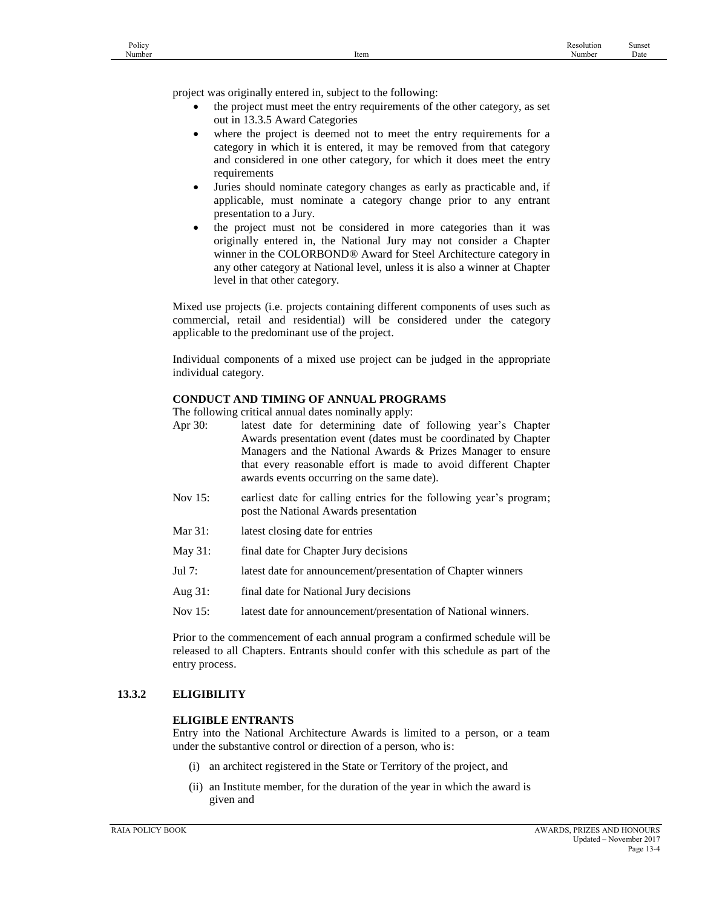project was originally entered in, subject to the following:

- the project must meet the entry requirements of the other category, as set out in 13.3.5 Award Categories
- where the project is deemed not to meet the entry requirements for a category in which it is entered, it may be removed from that category and considered in one other category, for which it does meet the entry requirements
- Juries should nominate category changes as early as practicable and, if applicable, must nominate a category change prior to any entrant presentation to a Jury.
- the project must not be considered in more categories than it was originally entered in, the National Jury may not consider a Chapter winner in the COLORBOND® Award for Steel Architecture category in any other category at National level, unless it is also a winner at Chapter level in that other category.

Mixed use projects (i.e. projects containing different components of uses such as commercial, retail and residential) will be considered under the category applicable to the predominant use of the project.

Individual components of a mixed use project can be judged in the appropriate individual category.

#### **CONDUCT AND TIMING OF ANNUAL PROGRAMS**

The following critical annual dates nominally apply:

- Apr 30: latest date for determining date of following year's Chapter Awards presentation event (dates must be coordinated by Chapter Managers and the National Awards & Prizes Manager to ensure that every reasonable effort is made to avoid different Chapter awards events occurring on the same date).
- Nov 15: earliest date for calling entries for the following year's program; post the National Awards presentation
- Mar 31: latest closing date for entries
- May 31: final date for Chapter Jury decisions
- Jul 7: latest date for announcement/presentation of Chapter winners
- Aug 31: final date for National Jury decisions
- Nov 15: latest date for announcement/presentation of National winners.

Prior to the commencement of each annual program a confirmed schedule will be released to all Chapters. Entrants should confer with this schedule as part of the entry process.

## **13.3.2 ELIGIBILITY**

#### **ELIGIBLE ENTRANTS**

Entry into the National Architecture Awards is limited to a person, or a team under the substantive control or direction of a person, who is:

- (i) an architect registered in the State or Territory of the project, and
- (ii) an Institute member, for the duration of the year in which the award is given and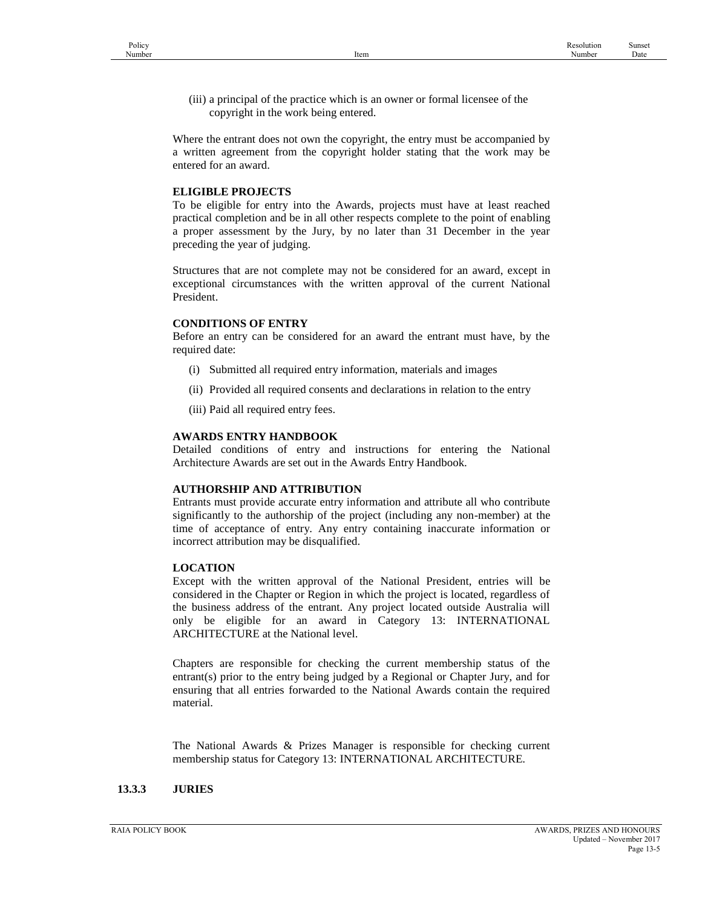(iii) a principal of the practice which is an owner or formal licensee of the copyright in the work being entered.

Where the entrant does not own the copyright, the entry must be accompanied by a written agreement from the copyright holder stating that the work may be entered for an award.

## **ELIGIBLE PROJECTS**

To be eligible for entry into the Awards, projects must have at least reached practical completion and be in all other respects complete to the point of enabling a proper assessment by the Jury, by no later than 31 December in the year preceding the year of judging.

Structures that are not complete may not be considered for an award, except in exceptional circumstances with the written approval of the current National President.

#### **CONDITIONS OF ENTRY**

Before an entry can be considered for an award the entrant must have, by the required date:

- (i) Submitted all required entry information, materials and images
- (ii) Provided all required consents and declarations in relation to the entry
- (iii) Paid all required entry fees.

## **AWARDS ENTRY HANDBOOK**

Detailed conditions of entry and instructions for entering the National Architecture Awards are set out in the Awards Entry Handbook.

## **AUTHORSHIP AND ATTRIBUTION**

Entrants must provide accurate entry information and attribute all who contribute significantly to the authorship of the project (including any non-member) at the time of acceptance of entry. Any entry containing inaccurate information or incorrect attribution may be disqualified.

## **LOCATION**

Except with the written approval of the National President, entries will be considered in the Chapter or Region in which the project is located, regardless of the business address of the entrant. Any project located outside Australia will only be eligible for an award in Category 13: INTERNATIONAL ARCHITECTURE at the National level.

Chapters are responsible for checking the current membership status of the entrant(s) prior to the entry being judged by a Regional or Chapter Jury, and for ensuring that all entries forwarded to the National Awards contain the required material.

The National Awards & Prizes Manager is responsible for checking current membership status for Category 13: INTERNATIONAL ARCHITECTURE.

## **13.3.3 JURIES**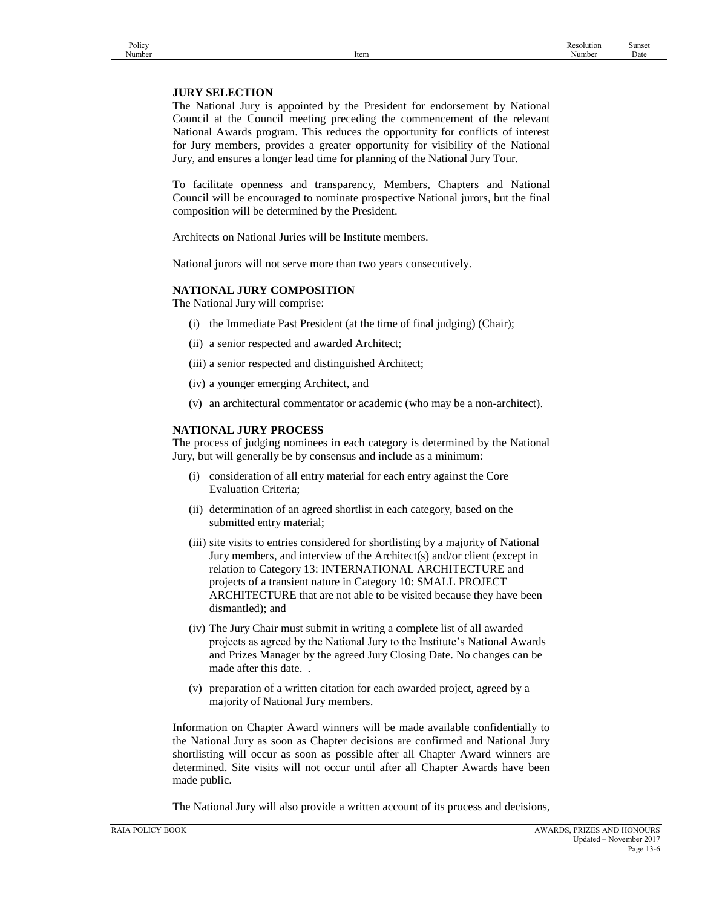## **JURY SELECTION**

The National Jury is appointed by the President for endorsement by National Council at the Council meeting preceding the commencement of the relevant National Awards program. This reduces the opportunity for conflicts of interest for Jury members, provides a greater opportunity for visibility of the National Jury, and ensures a longer lead time for planning of the National Jury Tour.

To facilitate openness and transparency, Members, Chapters and National Council will be encouraged to nominate prospective National jurors, but the final composition will be determined by the President.

Architects on National Juries will be Institute members.

National jurors will not serve more than two years consecutively.

## **NATIONAL JURY COMPOSITION**

The National Jury will comprise:

- (i) the Immediate Past President (at the time of final judging) (Chair);
- (ii) a senior respected and awarded Architect;
- (iii) a senior respected and distinguished Architect;
- (iv) a younger emerging Architect, and
- (v) an architectural commentator or academic (who may be a non-architect).

#### **NATIONAL JURY PROCESS**

The process of judging nominees in each category is determined by the National Jury, but will generally be by consensus and include as a minimum:

- (i) consideration of all entry material for each entry against the Core Evaluation Criteria;
- (ii) determination of an agreed shortlist in each category, based on the submitted entry material;
- (iii) site visits to entries considered for shortlisting by a majority of National Jury members, and interview of the Architect(s) and/or client (except in relation to Category 13: INTERNATIONAL ARCHITECTURE and projects of a transient nature in Category 10: SMALL PROJECT ARCHITECTURE that are not able to be visited because they have been dismantled); and
- (iv) The Jury Chair must submit in writing a complete list of all awarded projects as agreed by the National Jury to the Institute's National Awards and Prizes Manager by the agreed Jury Closing Date. No changes can be made after this date. *.*
- (v) preparation of a written citation for each awarded project, agreed by a majority of National Jury members.

Information on Chapter Award winners will be made available confidentially to the National Jury as soon as Chapter decisions are confirmed and National Jury shortlisting will occur as soon as possible after all Chapter Award winners are determined. Site visits will not occur until after all Chapter Awards have been made public.

The National Jury will also provide a written account of its process and decisions,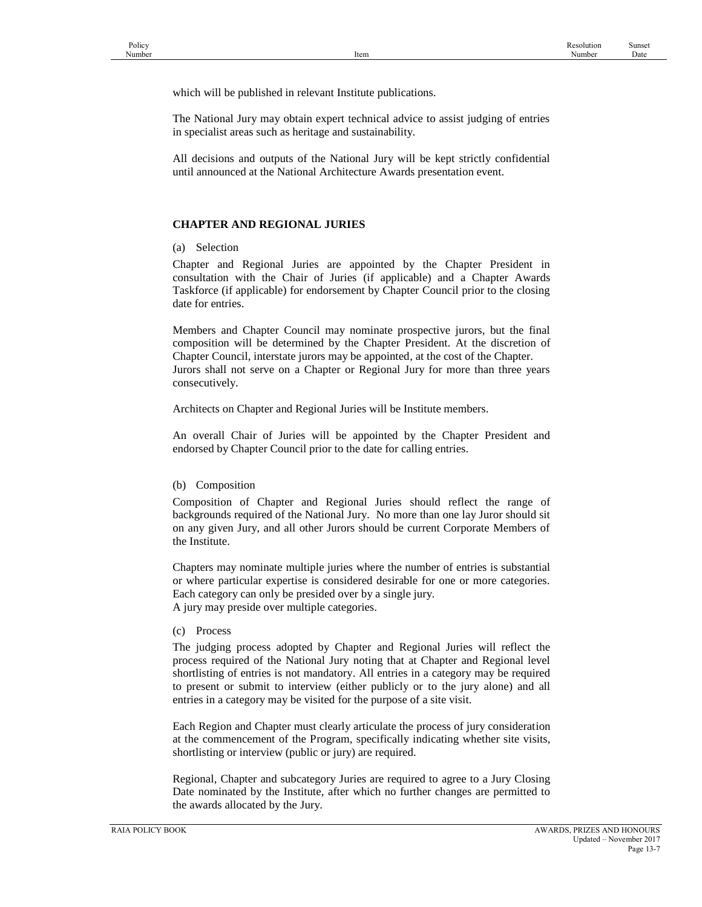which will be published in relevant Institute publications.

The National Jury may obtain expert technical advice to assist judging of entries in specialist areas such as heritage and sustainability.

All decisions and outputs of the National Jury will be kept strictly confidential until announced at the National Architecture Awards presentation event.

#### **CHAPTER AND REGIONAL JURIES**

(a) Selection

Chapter and Regional Juries are appointed by the Chapter President in consultation with the Chair of Juries (if applicable) and a Chapter Awards Taskforce (if applicable) for endorsement by Chapter Council prior to the closing date for entries.

Members and Chapter Council may nominate prospective jurors, but the final composition will be determined by the Chapter President. At the discretion of Chapter Council, interstate jurors may be appointed, at the cost of the Chapter. Jurors shall not serve on a Chapter or Regional Jury for more than three years consecutively.

Architects on Chapter and Regional Juries will be Institute members.

An overall Chair of Juries will be appointed by the Chapter President and endorsed by Chapter Council prior to the date for calling entries.

#### (b) Composition

Composition of Chapter and Regional Juries should reflect the range of backgrounds required of the National Jury. No more than one lay Juror should sit on any given Jury, and all other Jurors should be current Corporate Members of the Institute.

Chapters may nominate multiple juries where the number of entries is substantial or where particular expertise is considered desirable for one or more categories. Each category can only be presided over by a single jury. A jury may preside over multiple categories.

#### (c) Process

The judging process adopted by Chapter and Regional Juries will reflect the process required of the National Jury noting that at Chapter and Regional level shortlisting of entries is not mandatory. All entries in a category may be required to present or submit to interview (either publicly or to the jury alone) and all entries in a category may be visited for the purpose of a site visit.

Each Region and Chapter must clearly articulate the process of jury consideration at the commencement of the Program, specifically indicating whether site visits, shortlisting or interview (public or jury) are required.

Regional, Chapter and subcategory Juries are required to agree to a Jury Closing Date nominated by the Institute, after which no further changes are permitted to the awards allocated by the Jury.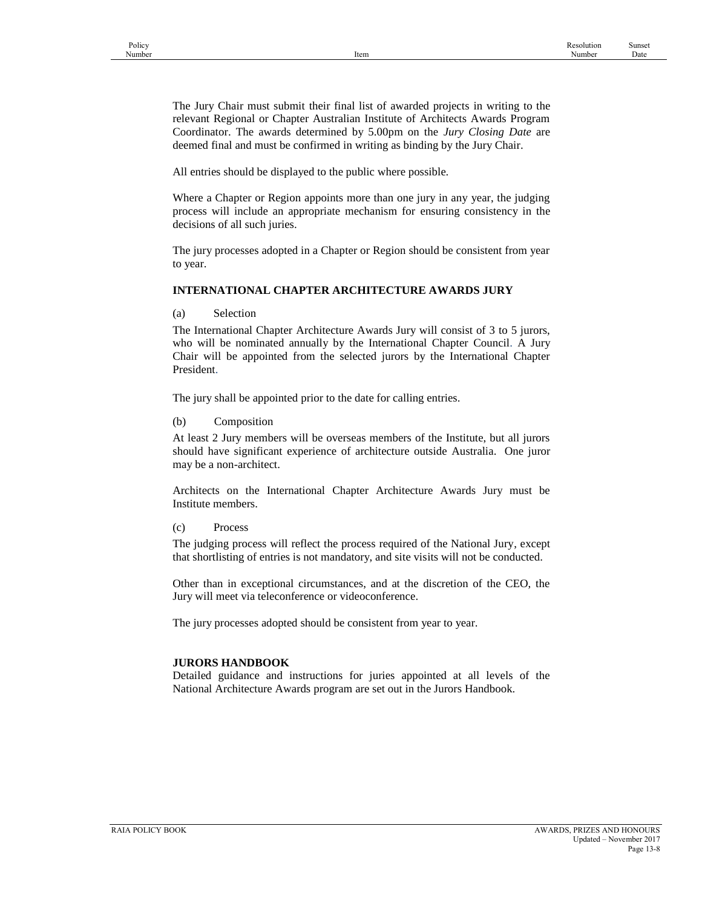The Jury Chair must submit their final list of awarded projects in writing to the relevant Regional or Chapter Australian Institute of Architects Awards Program Coordinator. The awards determined by 5.00pm on the *Jury Closing Date* are deemed final and must be confirmed in writing as binding by the Jury Chair.

All entries should be displayed to the public where possible.

Where a Chapter or Region appoints more than one jury in any year, the judging process will include an appropriate mechanism for ensuring consistency in the decisions of all such juries.

The jury processes adopted in a Chapter or Region should be consistent from year to year.

## **INTERNATIONAL CHAPTER ARCHITECTURE AWARDS JURY**

(a) Selection

The International Chapter Architecture Awards Jury will consist of 3 to 5 jurors, who will be nominated annually by the International Chapter Council. A Jury Chair will be appointed from the selected jurors by the International Chapter President.

The jury shall be appointed prior to the date for calling entries.

(b) Composition

At least 2 Jury members will be overseas members of the Institute, but all jurors should have significant experience of architecture outside Australia. One juror may be a non-architect.

Architects on the International Chapter Architecture Awards Jury must be Institute members.

(c) Process

The judging process will reflect the process required of the National Jury, except that shortlisting of entries is not mandatory, and site visits will not be conducted.

Other than in exceptional circumstances, and at the discretion of the CEO, the Jury will meet via teleconference or videoconference.

The jury processes adopted should be consistent from year to year.

## **JURORS HANDBOOK**

Detailed guidance and instructions for juries appointed at all levels of the National Architecture Awards program are set out in the Jurors Handbook.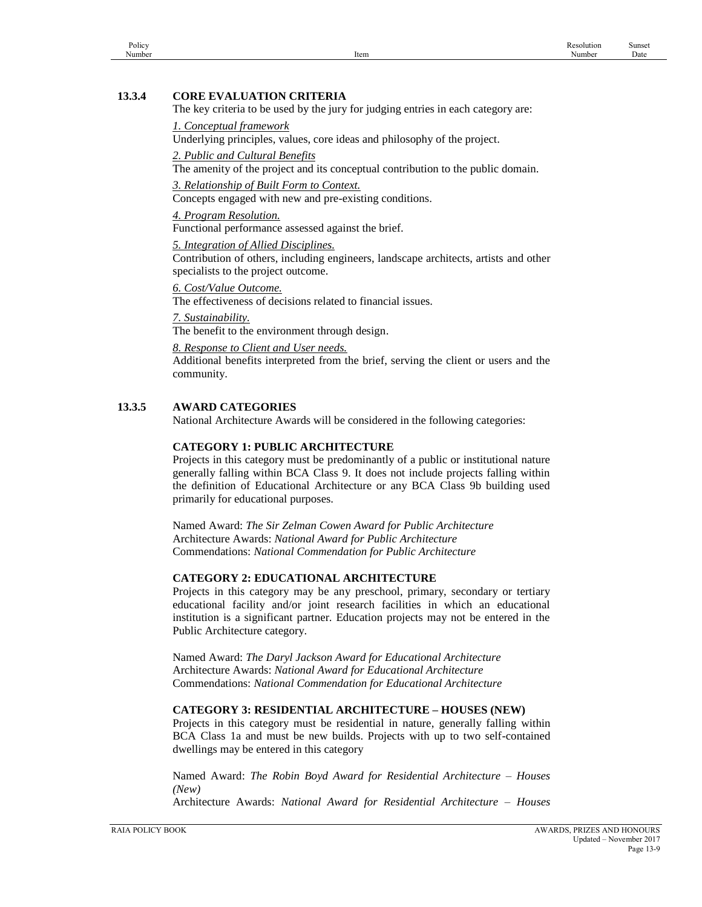## **13.3.4 CORE EVALUATION CRITERIA**

The key criteria to be used by the jury for judging entries in each category are:

*1. Conceptual framework*

Underlying principles, values, core ideas and philosophy of the project.

*2. Public and Cultural Benefits*

The amenity of the project and its conceptual contribution to the public domain.

*3. Relationship of Built Form to Context.*

Concepts engaged with new and pre-existing conditions.

*4. Program Resolution.*

Functional performance assessed against the brief.

*5. Integration of Allied Disciplines.*

Contribution of others, including engineers, landscape architects, artists and other specialists to the project outcome.

*6. Cost/Value Outcome.*

The effectiveness of decisions related to financial issues.

*7. Sustainability.*

The benefit to the environment through design.

*8. Response to Client and User needs.*

Additional benefits interpreted from the brief, serving the client or users and the community.

## **13.3.5 AWARD CATEGORIES**

National Architecture Awards will be considered in the following categories:

## **CATEGORY 1: PUBLIC ARCHITECTURE**

Projects in this category must be predominantly of a public or institutional nature generally falling within BCA Class 9. It does not include projects falling within the definition of Educational Architecture or any BCA Class 9b building used primarily for educational purposes.

Named Award: *The Sir Zelman Cowen Award for Public Architecture* Architecture Awards: *National Award for Public Architecture* Commendations: *National Commendation for Public Architecture*

## **CATEGORY 2: EDUCATIONAL ARCHITECTURE**

Projects in this category may be any preschool, primary, secondary or tertiary educational facility and/or joint research facilities in which an educational institution is a significant partner. Education projects may not be entered in the Public Architecture category.

Named Award: *The Daryl Jackson Award for Educational Architecture* Architecture Awards: *National Award for Educational Architecture* Commendations: *National Commendation for Educational Architecture*

## **CATEGORY 3: RESIDENTIAL ARCHITECTURE – HOUSES (NEW)**

Projects in this category must be residential in nature, generally falling within BCA Class 1a and must be new builds. Projects with up to two self-contained dwellings may be entered in this category

Named Award: *The Robin Boyd Award for Residential Architecture – Houses (New)*

Architecture Awards: *National Award for Residential Architecture – Houses*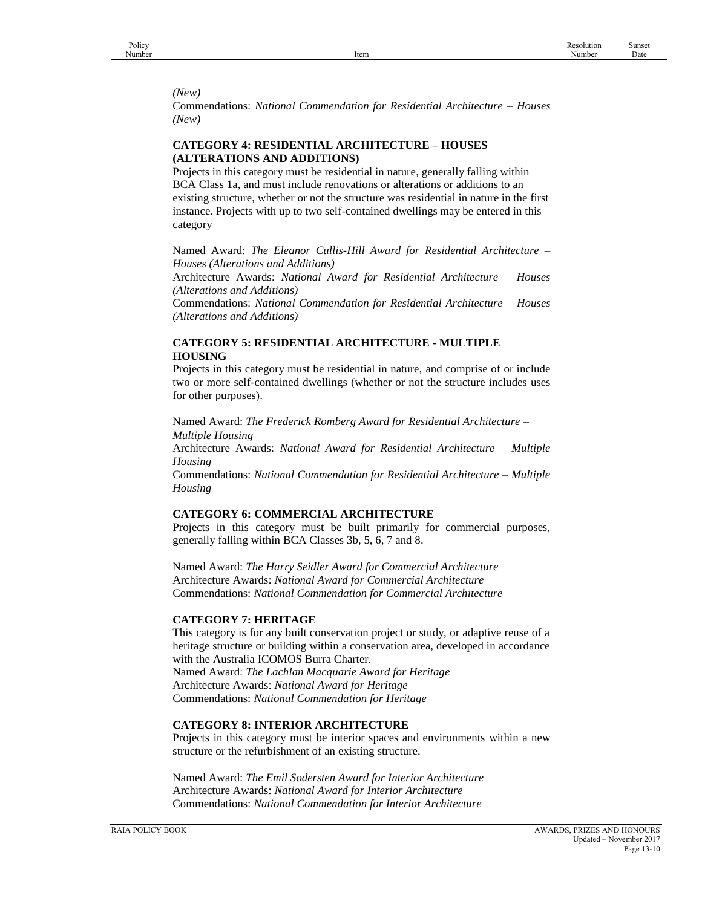*(New)*

Commendations: *National Commendation for Residential Architecture – Houses (New)*

## **CATEGORY 4: RESIDENTIAL ARCHITECTURE – HOUSES (ALTERATIONS AND ADDITIONS)**

Projects in this category must be residential in nature, generally falling within BCA Class 1a, and must include renovations or alterations or additions to an existing structure, whether or not the structure was residential in nature in the first instance. Projects with up to two self-contained dwellings may be entered in this category

Named Award: *The Eleanor Cullis-Hill Award for Residential Architecture – Houses (Alterations and Additions)*

Architecture Awards: *National Award for Residential Architecture – Houses (Alterations and Additions)*

Commendations: *National Commendation for Residential Architecture – Houses (Alterations and Additions)*

## **CATEGORY 5: RESIDENTIAL ARCHITECTURE - MULTIPLE HOUSING**

Projects in this category must be residential in nature, and comprise of or include two or more self-contained dwellings (whether or not the structure includes uses for other purposes).

Named Award: *The Frederick Romberg Award for Residential Architecture – Multiple Housing*

Architecture Awards: *National Award for Residential Architecture – Multiple Housing*

Commendations: *National Commendation for Residential Architecture – Multiple Housing*

#### **CATEGORY 6: COMMERCIAL ARCHITECTURE**

Projects in this category must be built primarily for commercial purposes, generally falling within BCA Classes 3b, 5, 6, 7 and 8.

Named Award: *The Harry Seidler Award for Commercial Architecture*  Architecture Awards: *National Award for Commercial Architecture* Commendations: *National Commendation for Commercial Architecture*

## **CATEGORY 7: HERITAGE**

This category is for any built conservation project or study, or adaptive reuse of a heritage structure or building within a conservation area, developed in accordance with the Australia ICOMOS Burra Charter. Named Award: *The Lachlan Macquarie Award for Heritage*

Architecture Awards: *National Award for Heritage* Commendations: *National Commendation for Heritage*

## **CATEGORY 8: INTERIOR ARCHITECTURE**

Projects in this category must be interior spaces and environments within a new structure or the refurbishment of an existing structure.

Named Award: *The Emil Sodersten Award for Interior Architecture* Architecture Awards: *National Award for Interior Architecture* Commendations: *National Commendation for Interior Architecture*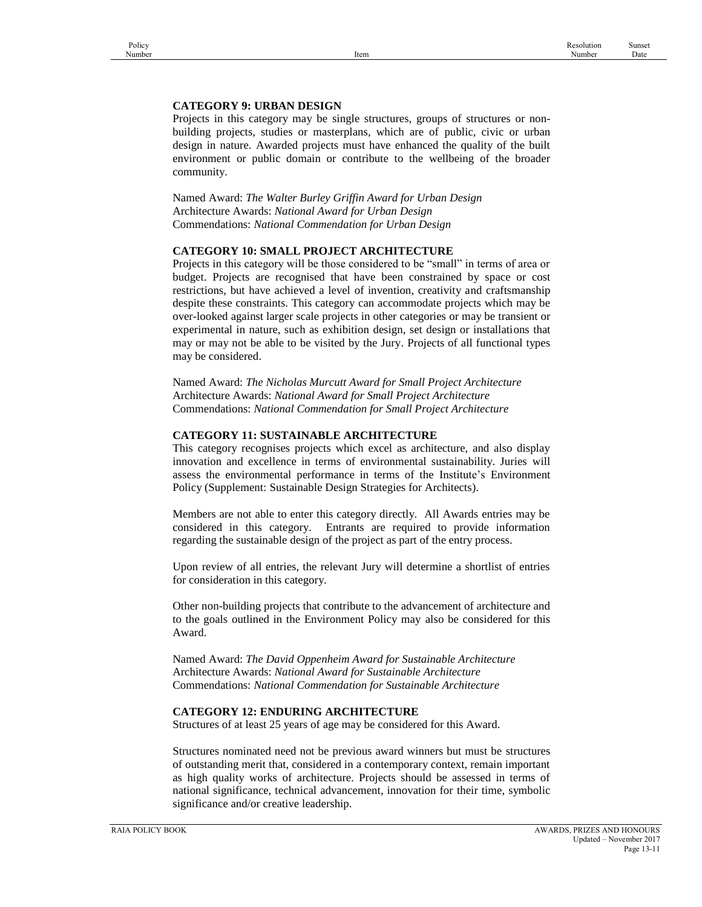#### **CATEGORY 9: URBAN DESIGN**

Projects in this category may be single structures, groups of structures or nonbuilding projects, studies or masterplans, which are of public, civic or urban design in nature. Awarded projects must have enhanced the quality of the built environment or public domain or contribute to the wellbeing of the broader community.

Named Award: *The Walter Burley Griffin Award for Urban Design* Architecture Awards: *National Award for Urban Design* Commendations: *National Commendation for Urban Design*

#### **CATEGORY 10: SMALL PROJECT ARCHITECTURE**

Projects in this category will be those considered to be "small" in terms of area or budget. Projects are recognised that have been constrained by space or cost restrictions, but have achieved a level of invention, creativity and craftsmanship despite these constraints. This category can accommodate projects which may be over-looked against larger scale projects in other categories or may be transient or experimental in nature, such as exhibition design, set design or installations that may or may not be able to be visited by the Jury. Projects of all functional types may be considered.

Named Award: *The Nicholas Murcutt Award for Small Project Architecture* Architecture Awards: *National Award for Small Project Architecture* Commendations: *National Commendation for Small Project Architecture*

#### **CATEGORY 11: SUSTAINABLE ARCHITECTURE**

This category recognises projects which excel as architecture, and also display innovation and excellence in terms of environmental sustainability. Juries will assess the environmental performance in terms of the Institute's Environment Policy (Supplement: Sustainable Design Strategies for Architects).

Members are not able to enter this category directly. All Awards entries may be considered in this category. Entrants are required to provide information regarding the sustainable design of the project as part of the entry process.

Upon review of all entries, the relevant Jury will determine a shortlist of entries for consideration in this category.

Other non-building projects that contribute to the advancement of architecture and to the goals outlined in the Environment Policy may also be considered for this Award.

Named Award: *The David Oppenheim Award for Sustainable Architecture* Architecture Awards: *National Award for Sustainable Architecture* Commendations: *National Commendation for Sustainable Architecture*

#### **CATEGORY 12: ENDURING ARCHITECTURE**

Structures of at least 25 years of age may be considered for this Award.

Structures nominated need not be previous award winners but must be structures of outstanding merit that, considered in a contemporary context, remain important as high quality works of architecture. Projects should be assessed in terms of national significance, technical advancement, innovation for their time, symbolic significance and/or creative leadership.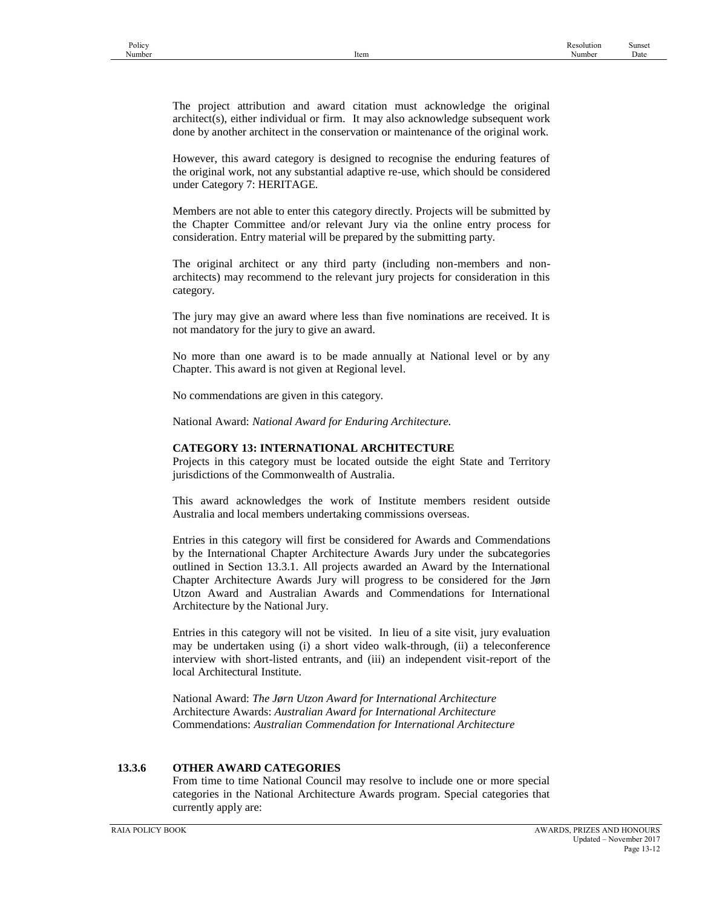The project attribution and award citation must acknowledge the original architect(s), either individual or firm. It may also acknowledge subsequent work done by another architect in the conservation or maintenance of the original work.

However, this award category is designed to recognise the enduring features of the original work, not any substantial adaptive re-use, which should be considered under Category 7: HERITAGE*.*

Members are not able to enter this category directly. Projects will be submitted by the Chapter Committee and/or relevant Jury via the online entry process for consideration. Entry material will be prepared by the submitting party.

The original architect or any third party (including non-members and nonarchitects) may recommend to the relevant jury projects for consideration in this category.

The jury may give an award where less than five nominations are received. It is not mandatory for the jury to give an award.

No more than one award is to be made annually at National level or by any Chapter. This award is not given at Regional level.

No commendations are given in this category.

National Award: *National Award for Enduring Architecture.*

### **CATEGORY 13: INTERNATIONAL ARCHITECTURE**

Projects in this category must be located outside the eight State and Territory jurisdictions of the Commonwealth of Australia.

This award acknowledges the work of Institute members resident outside Australia and local members undertaking commissions overseas.

Entries in this category will first be considered for Awards and Commendations by the International Chapter Architecture Awards Jury under the subcategories outlined in Section 13.3.1. All projects awarded an Award by the International Chapter Architecture Awards Jury will progress to be considered for the Jørn Utzon Award and Australian Awards and Commendations for International Architecture by the National Jury.

Entries in this category will not be visited. In lieu of a site visit, jury evaluation may be undertaken using (i) a short video walk-through, (ii) a teleconference interview with short-listed entrants, and (iii) an independent visit-report of the local Architectural Institute.

National Award: *The Jørn Utzon Award for International Architecture* Architecture Awards: *Australian Award for International Architecture* Commendations: *Australian Commendation for International Architecture*

## **13.3.6 OTHER AWARD CATEGORIES**

From time to time National Council may resolve to include one or more special categories in the National Architecture Awards program. Special categories that currently apply are: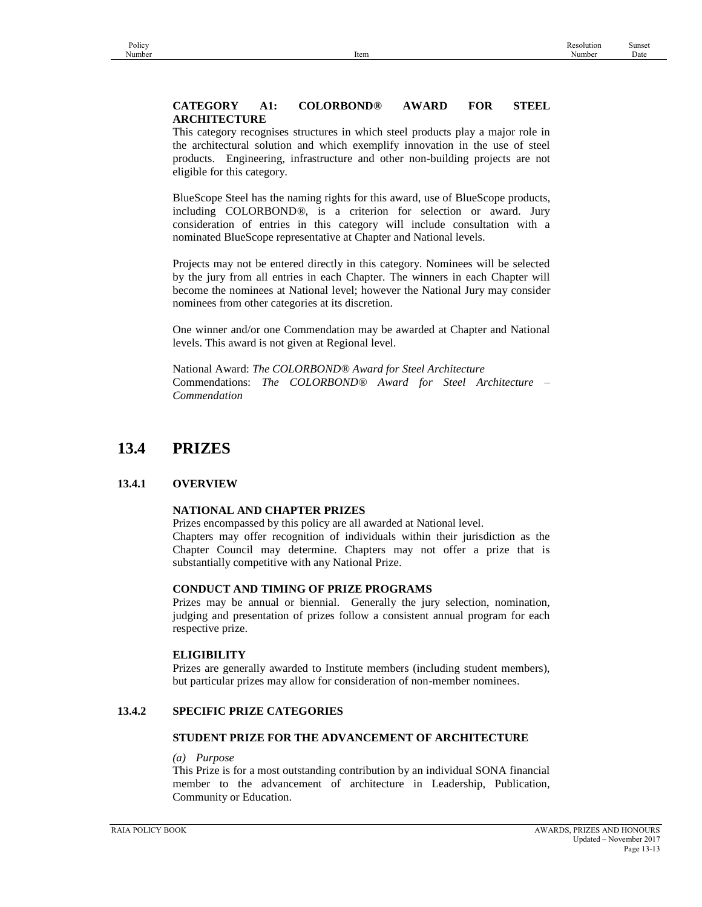#### **CATEGORY A1: COLORBOND***®* **AWARD FOR STEEL ARCHITECTURE**

This category recognises structures in which steel products play a major role in the architectural solution and which exemplify innovation in the use of steel products. Engineering, infrastructure and other non-building projects are not eligible for this category.

BlueScope Steel has the naming rights for this award, use of BlueScope products, including COLORBOND*®*, is a criterion for selection or award. Jury consideration of entries in this category will include consultation with a nominated BlueScope representative at Chapter and National levels.

Projects may not be entered directly in this category. Nominees will be selected by the jury from all entries in each Chapter. The winners in each Chapter will become the nominees at National level; however the National Jury may consider nominees from other categories at its discretion.

One winner and/or one Commendation may be awarded at Chapter and National levels. This award is not given at Regional level.

National Award: *The COLORBOND® Award for Steel Architecture* Commendations: *The COLORBOND® Award for Steel Architecture – Commendation*

# **13.4 PRIZES**

## **13.4.1 OVERVIEW**

### **NATIONAL AND CHAPTER PRIZES**

Prizes encompassed by this policy are all awarded at National level. Chapters may offer recognition of individuals within their jurisdiction as the Chapter Council may determine. Chapters may not offer a prize that is substantially competitive with any National Prize.

#### **CONDUCT AND TIMING OF PRIZE PROGRAMS**

Prizes may be annual or biennial. Generally the jury selection, nomination, judging and presentation of prizes follow a consistent annual program for each respective prize.

#### **ELIGIBILITY**

Prizes are generally awarded to Institute members (including student members), but particular prizes may allow for consideration of non-member nominees.

#### **13.4.2 SPECIFIC PRIZE CATEGORIES**

#### **STUDENT PRIZE FOR THE ADVANCEMENT OF ARCHITECTURE**

#### *(a) Purpose*

This Prize is for a most outstanding contribution by an individual SONA financial member to the advancement of architecture in Leadership, Publication, Community or Education.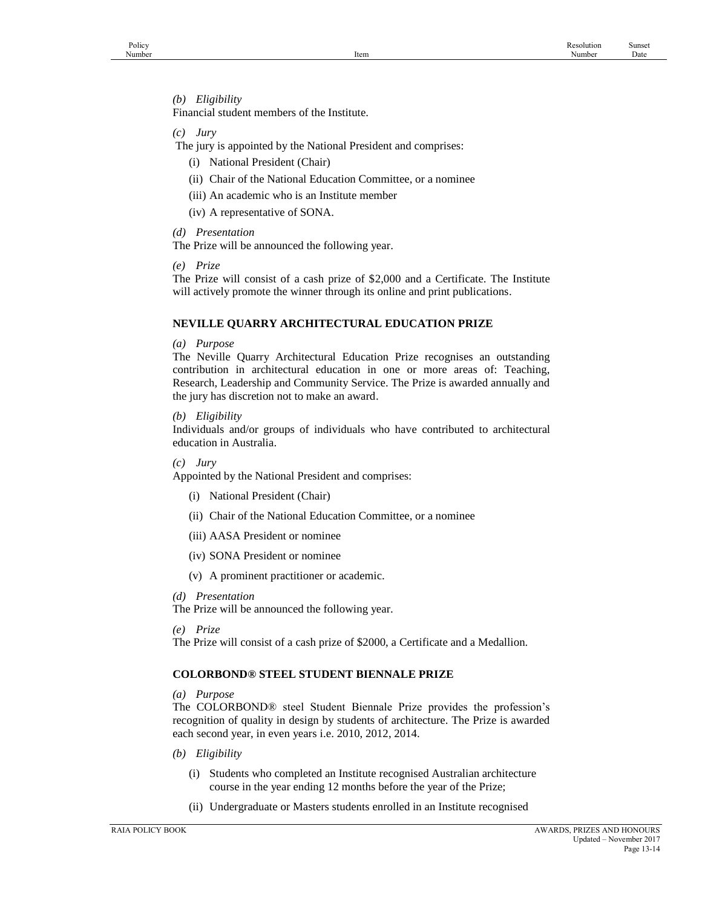#### Sunset Date

## *(b) Eligibility*

Financial student members of the Institute.

### *(c) Jury*

- The jury is appointed by the National President and comprises:
	- (i) National President (Chair)
	- (ii) Chair of the National Education Committee, or a nominee
	- (iii) An academic who is an Institute member
	- (iv) A representative of SONA.
- *(d) Presentation*

The Prize will be announced the following year.

*(e) Prize*

The Prize will consist of a cash prize of \$2,000 and a Certificate. The Institute will actively promote the winner through its online and print publications.

#### **NEVILLE QUARRY ARCHITECTURAL EDUCATION PRIZE**

#### *(a) Purpose*

The Neville Quarry Architectural Education Prize recognises an outstanding contribution in architectural education in one or more areas of: Teaching, Research, Leadership and Community Service. The Prize is awarded annually and the jury has discretion not to make an award.

*(b) Eligibility*

Individuals and/or groups of individuals who have contributed to architectural education in Australia.

*(c) Jury*

Appointed by the National President and comprises:

- (i) National President (Chair)
- (ii) Chair of the National Education Committee, or a nominee
- (iii) AASA President or nominee
- (iv) SONA President or nominee
- (v) A prominent practitioner or academic.
- *(d) Presentation*

The Prize will be announced the following year.

*(e) Prize*

The Prize will consist of a cash prize of \$2000, a Certificate and a Medallion.

#### **COLORBOND® STEEL STUDENT BIENNALE PRIZE**

*(a) Purpose*

The COLORBOND® steel Student Biennale Prize provides the profession's recognition of quality in design by students of architecture. The Prize is awarded each second year, in even years i.e. 2010, 2012, 2014.

- *(b) Eligibility*
	- (i) Students who completed an Institute recognised Australian architecture course in the year ending 12 months before the year of the Prize;
	- (ii) Undergraduate or Masters students enrolled in an Institute recognised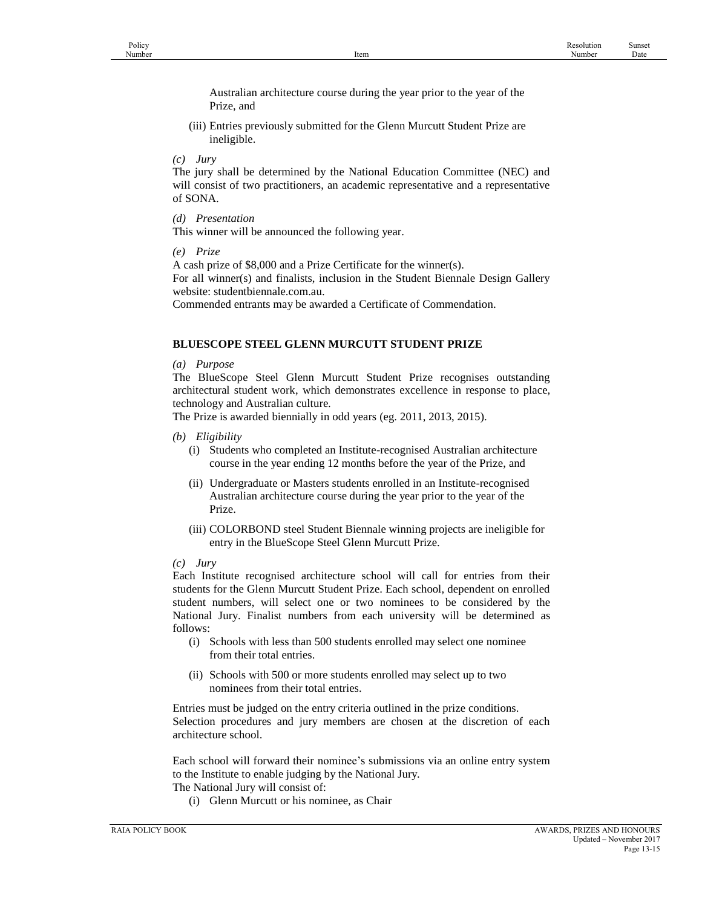Australian architecture course during the year prior to the year of the Prize, and

(iii) Entries previously submitted for the Glenn Murcutt Student Prize are ineligible.

*(c) Jury*

The jury shall be determined by the National Education Committee (NEC) and will consist of two practitioners, an academic representative and a representative of SONA.

*(d) Presentation* 

This winner will be announced the following year.

*(e) Prize*

A cash prize of \$8,000 and a Prize Certificate for the winner(s). For all winner(s) and finalists, inclusion in the Student Biennale Design Gallery website: studentbiennale.com.au.

Commended entrants may be awarded a Certificate of Commendation.

## **BLUESCOPE STEEL GLENN MURCUTT STUDENT PRIZE**

#### *(a) Purpose*

The BlueScope Steel Glenn Murcutt Student Prize recognises outstanding architectural student work, which demonstrates excellence in response to place, technology and Australian culture.

The Prize is awarded biennially in odd years (eg. 2011, 2013, 2015).

- *(b) Eligibility*
	- (i) Students who completed an Institute-recognised Australian architecture course in the year ending 12 months before the year of the Prize, and
	- (ii) Undergraduate or Masters students enrolled in an Institute-recognised Australian architecture course during the year prior to the year of the Prize.
	- (iii) COLORBOND steel Student Biennale winning projects are ineligible for entry in the BlueScope Steel Glenn Murcutt Prize.

*(c) Jury*

Each Institute recognised architecture school will call for entries from their students for the Glenn Murcutt Student Prize. Each school, dependent on enrolled student numbers, will select one or two nominees to be considered by the National Jury. Finalist numbers from each university will be determined as follows:

- (i) Schools with less than 500 students enrolled may select one nominee from their total entries.
- (ii) Schools with 500 or more students enrolled may select up to two nominees from their total entries.

Entries must be judged on the entry criteria outlined in the prize conditions. Selection procedures and jury members are chosen at the discretion of each architecture school.

Each school will forward their nominee's submissions via an online entry system to the Institute to enable judging by the National Jury. The National Jury will consist of:

(i) Glenn Murcutt or his nominee, as Chair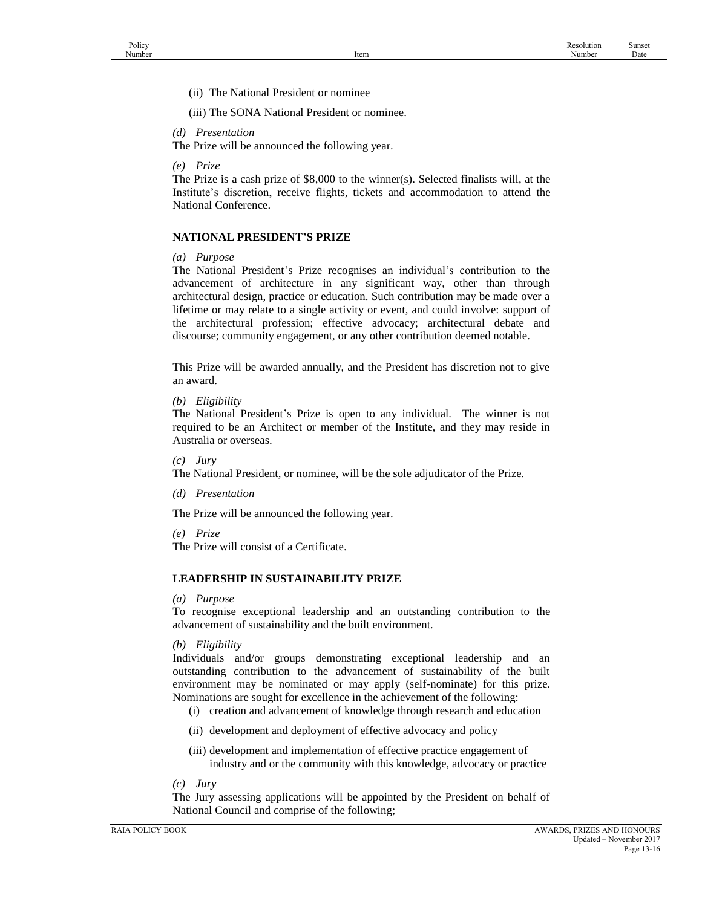- (ii) The National President or nominee
- (iii) The SONA National President or nominee.
- *(d) Presentation*
- The Prize will be announced the following year.
- *(e) Prize*

The Prize is a cash prize of \$8,000 to the winner(s). Selected finalists will, at the Institute's discretion, receive flights, tickets and accommodation to attend the National Conference.

#### **NATIONAL PRESIDENT'S PRIZE**

*(a) Purpose*

The National President's Prize recognises an individual's contribution to the advancement of architecture in any significant way, other than through architectural design, practice or education. Such contribution may be made over a lifetime or may relate to a single activity or event, and could involve: support of the architectural profession; effective advocacy; architectural debate and discourse; community engagement, or any other contribution deemed notable.

This Prize will be awarded annually, and the President has discretion not to give an award.

*(b) Eligibility*

The National President's Prize is open to any individual. The winner is not required to be an Architect or member of the Institute, and they may reside in Australia or overseas.

*(c) Jury*

The National President, or nominee, will be the sole adjudicator of the Prize.

*(d) Presentation*

The Prize will be announced the following year.

*(e) Prize*

The Prize will consist of a Certificate.

#### **LEADERSHIP IN SUSTAINABILITY PRIZE**

*(a) Purpose*

To recognise exceptional leadership and an outstanding contribution to the advancement of sustainability and the built environment.

*(b) Eligibility*

Individuals and/or groups demonstrating exceptional leadership and an outstanding contribution to the advancement of sustainability of the built environment may be nominated or may apply (self-nominate) for this prize. Nominations are sought for excellence in the achievement of the following:

- (i) creation and advancement of knowledge through research and education
- (ii) development and deployment of effective advocacy and policy
- (iii) development and implementation of effective practice engagement of industry and or the community with this knowledge, advocacy or practice
- *(c) Jury*

The Jury assessing applications will be appointed by the President on behalf of National Council and comprise of the following;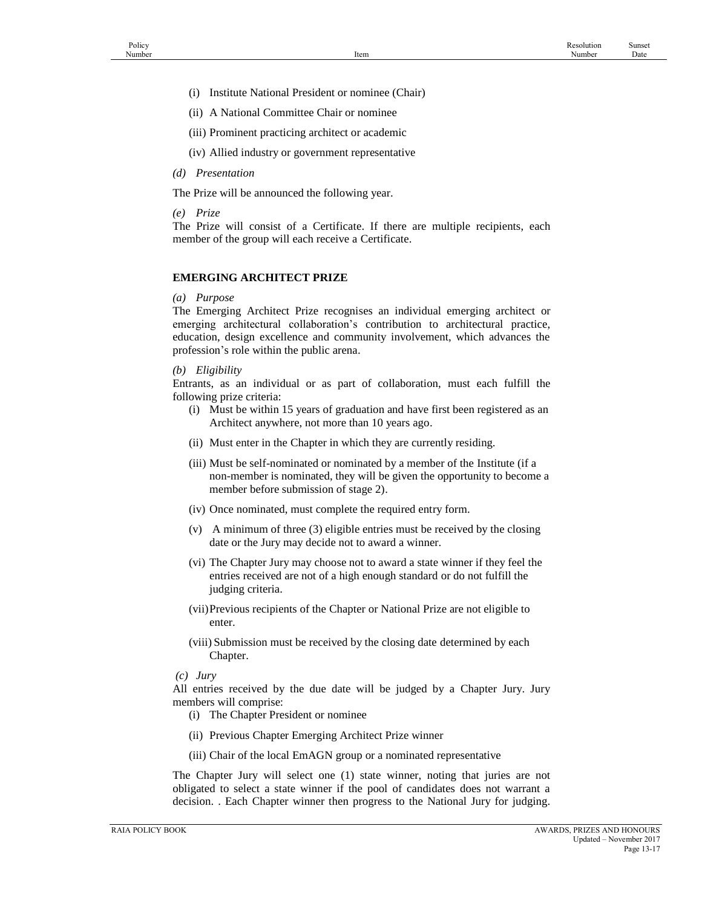- (i) Institute National President or nominee (Chair)
- (ii) A National Committee Chair or nominee
- (iii) Prominent practicing architect or academic
- (iv) Allied industry or government representative
- *(d) Presentation*

The Prize will be announced the following year.

*(e) Prize*

The Prize will consist of a Certificate. If there are multiple recipients, each member of the group will each receive a Certificate.

#### **EMERGING ARCHITECT PRIZE**

#### *(a) Purpose*

The Emerging Architect Prize recognises an individual emerging architect or emerging architectural collaboration's contribution to architectural practice, education, design excellence and community involvement, which advances the profession's role within the public arena.

#### *(b) Eligibility*

Entrants, as an individual or as part of collaboration, must each fulfill the following prize criteria:

- (i) Must be within 15 years of graduation and have first been registered as an Architect anywhere, not more than 10 years ago.
- (ii) Must enter in the Chapter in which they are currently residing.
- (iii) Must be self-nominated or nominated by a member of the Institute (if a non-member is nominated, they will be given the opportunity to become a member before submission of stage 2).
- (iv) Once nominated, must complete the required entry form.
- (v) A minimum of three (3) eligible entries must be received by the closing date or the Jury may decide not to award a winner.
- (vi) The Chapter Jury may choose not to award a state winner if they feel the entries received are not of a high enough standard or do not fulfill the judging criteria.
- (vii)Previous recipients of the Chapter or National Prize are not eligible to enter.
- (viii) Submission must be received by the closing date determined by each Chapter.

*(c) Jury*

All entries received by the due date will be judged by a Chapter Jury. Jury members will comprise:

- (i) The Chapter President or nominee
- (ii) Previous Chapter Emerging Architect Prize winner
- (iii) Chair of the local EmAGN group or a nominated representative

The Chapter Jury will select one (1) state winner, noting that juries are not obligated to select a state winner if the pool of candidates does not warrant a decision. . Each Chapter winner then progress to the National Jury for judging.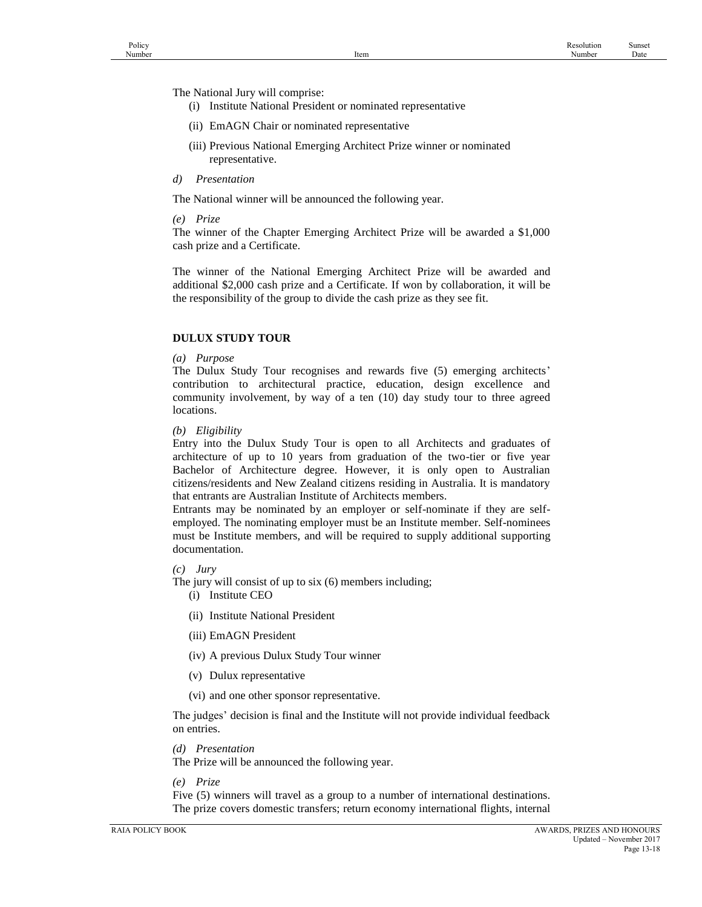The National Jury will comprise:

- (i) Institute National President or nominated representative
- (ii) EmAGN Chair or nominated representative
- (iii) Previous National Emerging Architect Prize winner or nominated representative.
- *d) Presentation*

The National winner will be announced the following year.

*(e) Prize*

The winner of the Chapter Emerging Architect Prize will be awarded a \$1,000 cash prize and a Certificate.

The winner of the National Emerging Architect Prize will be awarded and additional \$2,000 cash prize and a Certificate. If won by collaboration, it will be the responsibility of the group to divide the cash prize as they see fit.

#### **DULUX STUDY TOUR**

*(a) Purpose*

The Dulux Study Tour recognises and rewards five (5) emerging architects' contribution to architectural practice, education, design excellence and community involvement, by way of a ten (10) day study tour to three agreed locations.

*(b) Eligibility*

Entry into the Dulux Study Tour is open to all Architects and graduates of architecture of up to 10 years from graduation of the two-tier or five year Bachelor of Architecture degree. However, it is only open to Australian citizens/residents and New Zealand citizens residing in Australia. It is mandatory that entrants are Australian Institute of Architects members.

Entrants may be nominated by an employer or self-nominate if they are selfemployed. The nominating employer must be an Institute member. Self-nominees must be Institute members, and will be required to supply additional supporting documentation.

#### *(c) Jury*

The jury will consist of up to six (6) members including;

- (i) Institute CEO
- (ii) Institute National President
- (iii) EmAGN President
- (iv) A previous Dulux Study Tour winner
- (v) Dulux representative
- (vi) and one other sponsor representative.

The judges' decision is final and the Institute will not provide individual feedback on entries.

*(d) Presentation* 

The Prize will be announced the following year.

*(e) Prize*

Five (5) winners will travel as a group to a number of international destinations. The prize covers domestic transfers; return economy international flights, internal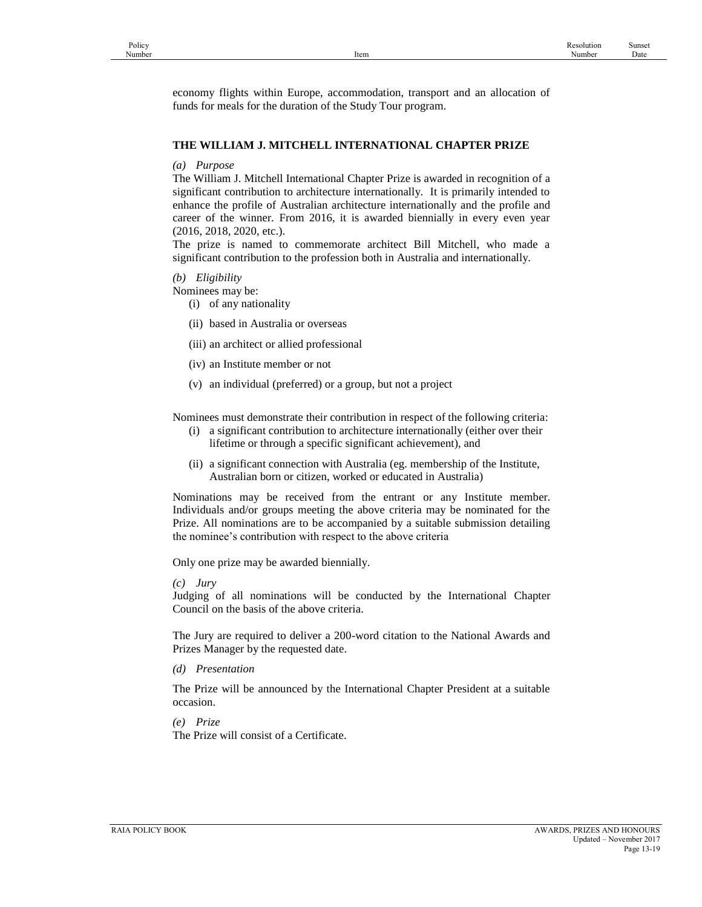economy flights within Europe, accommodation, transport and an allocation of funds for meals for the duration of the Study Tour program.

### **THE WILLIAM J. MITCHELL INTERNATIONAL CHAPTER PRIZE**

## *(a) Purpose*

The William J. Mitchell International Chapter Prize is awarded in recognition of a significant contribution to architecture internationally. It is primarily intended to enhance the profile of Australian architecture internationally and the profile and career of the winner. From 2016, it is awarded biennially in every even year (2016, 2018, 2020, etc.).

The prize is named to commemorate architect Bill Mitchell, who made a significant contribution to the profession both in Australia and internationally.

## *(b) Eligibility*

Nominees may be:

- (i) of any nationality
- (ii) based in Australia or overseas
- (iii) an architect or allied professional
- (iv) an Institute member or not
- (v) an individual (preferred) or a group, but not a project

Nominees must demonstrate their contribution in respect of the following criteria:

- (i) a significant contribution to architecture internationally (either over their lifetime or through a specific significant achievement), and
- (ii) a significant connection with Australia (eg. membership of the Institute, Australian born or citizen, worked or educated in Australia)

Nominations may be received from the entrant or any Institute member. Individuals and/or groups meeting the above criteria may be nominated for the Prize. All nominations are to be accompanied by a suitable submission detailing the nominee's contribution with respect to the above criteria

Only one prize may be awarded biennially.

*(c) Jury*

Judging of all nominations will be conducted by the International Chapter Council on the basis of the above criteria.

The Jury are required to deliver a 200-word citation to the National Awards and Prizes Manager by the requested date.

*(d) Presentation* 

The Prize will be announced by the International Chapter President at a suitable occasion.

*(e) Prize* The Prize will consist of a Certificate.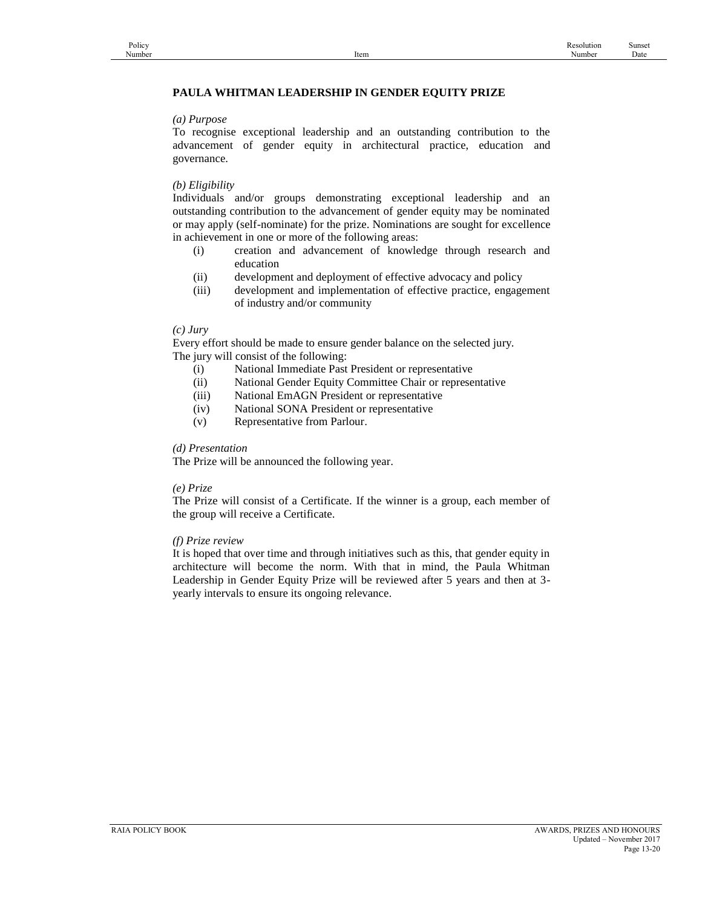## **PAULA WHITMAN LEADERSHIP IN GENDER EQUITY PRIZE**

#### *(a) Purpose*

To recognise exceptional leadership and an outstanding contribution to the advancement of gender equity in architectural practice, education and governance.

#### *(b) Eligibility*

Individuals and/or groups demonstrating exceptional leadership and an outstanding contribution to the advancement of gender equity may be nominated or may apply (self-nominate) for the prize. Nominations are sought for excellence in achievement in one or more of the following areas:

- (i) creation and advancement of knowledge through research and education
- (ii) development and deployment of effective advocacy and policy
- (iii) development and implementation of effective practice, engagement of industry and/or community

#### *(c) Jury*

Every effort should be made to ensure gender balance on the selected jury. The jury will consist of the following:

- (i) National Immediate Past President or representative
- (ii) National Gender Equity Committee Chair or representative
- (iii) National EmAGN President or representative
- (iv) National SONA President or representative
- (v) Representative from Parlour.

### *(d) Presentation*

The Prize will be announced the following year.

#### *(e) Prize*

The Prize will consist of a Certificate. If the winner is a group, each member of the group will receive a Certificate.

#### *(f) Prize review*

It is hoped that over time and through initiatives such as this, that gender equity in architecture will become the norm. With that in mind, the Paula Whitman Leadership in Gender Equity Prize will be reviewed after 5 years and then at 3 yearly intervals to ensure its ongoing relevance.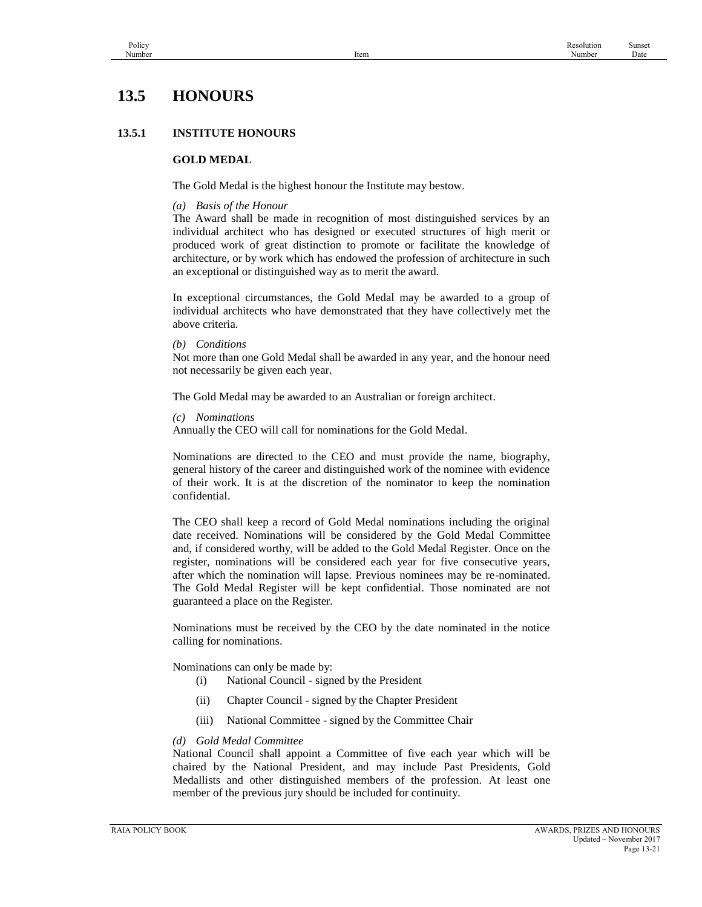# **13.5 HONOURS**

## **13.5.1 INSTITUTE HONOURS**

### **GOLD MEDAL**

The Gold Medal is the highest honour the Institute may bestow.

#### *(a) Basis of the Honour*

The Award shall be made in recognition of most distinguished services by an individual architect who has designed or executed structures of high merit or produced work of great distinction to promote or facilitate the knowledge of architecture, or by work which has endowed the profession of architecture in such an exceptional or distinguished way as to merit the award.

In exceptional circumstances, the Gold Medal may be awarded to a group of individual architects who have demonstrated that they have collectively met the above criteria.

*(b) Conditions*

Not more than one Gold Medal shall be awarded in any year, and the honour need not necessarily be given each year.

The Gold Medal may be awarded to an Australian or foreign architect.

*(c) Nominations*

Annually the CEO will call for nominations for the Gold Medal.

Nominations are directed to the CEO and must provide the name, biography, general history of the career and distinguished work of the nominee with evidence of their work. It is at the discretion of the nominator to keep the nomination confidential.

The CEO shall keep a record of Gold Medal nominations including the original date received. Nominations will be considered by the Gold Medal Committee and, if considered worthy, will be added to the Gold Medal Register. Once on the register, nominations will be considered each year for five consecutive years, after which the nomination will lapse. Previous nominees may be re-nominated. The Gold Medal Register will be kept confidential. Those nominated are not guaranteed a place on the Register.

Nominations must be received by the CEO by the date nominated in the notice calling for nominations.

Nominations can only be made by:

- (i) National Council signed by the President
- (ii) Chapter Council signed by the Chapter President
- (iii) National Committee signed by the Committee Chair

#### *(d) Gold Medal Committee*

National Council shall appoint a Committee of five each year which will be chaired by the National President, and may include Past Presidents, Gold Medallists and other distinguished members of the profession. At least one member of the previous jury should be included for continuity.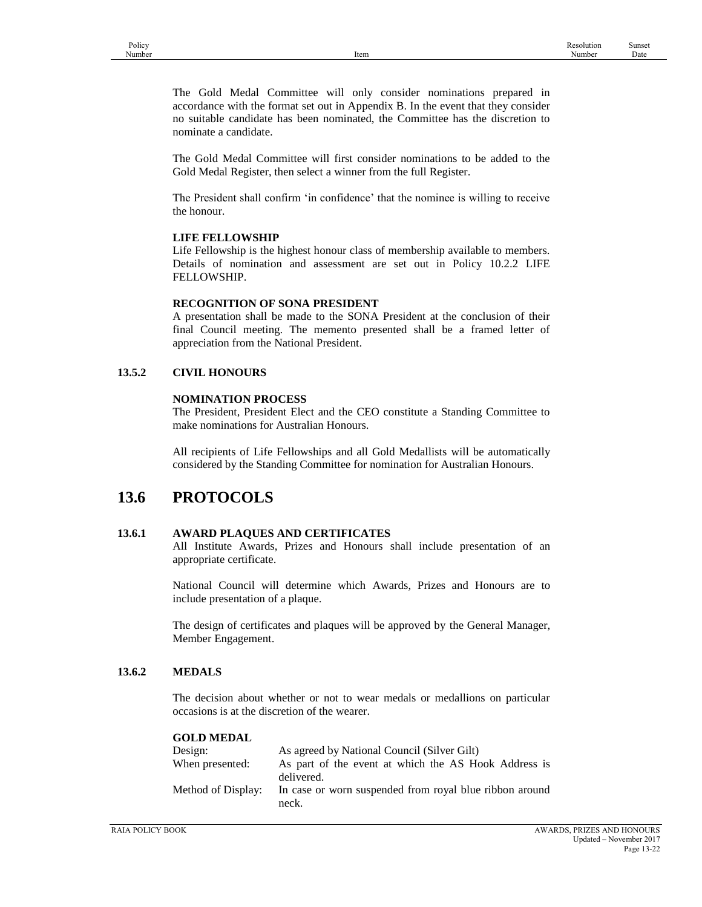The Gold Medal Committee will only consider nominations prepared in accordance with the format set out in Appendix B. In the event that they consider no suitable candidate has been nominated, the Committee has the discretion to nominate a candidate.

The Gold Medal Committee will first consider nominations to be added to the Gold Medal Register, then select a winner from the full Register.

The President shall confirm 'in confidence' that the nominee is willing to receive the honour.

## **LIFE FELLOWSHIP**

Life Fellowship is the highest honour class of membership available to members. Details of nomination and assessment are set out in Policy 10.2.2 LIFE FELLOWSHIP.

## **RECOGNITION OF SONA PRESIDENT**

A presentation shall be made to the SONA President at the conclusion of their final Council meeting. The memento presented shall be a framed letter of appreciation from the National President.

## **13.5.2 CIVIL HONOURS**

## **NOMINATION PROCESS**

The President, President Elect and the CEO constitute a Standing Committee to make nominations for Australian Honours.

All recipients of Life Fellowships and all Gold Medallists will be automatically considered by the Standing Committee for nomination for Australian Honours.

# **13.6 PROTOCOLS**

## **13.6.1 AWARD PLAQUES AND CERTIFICATES**

All Institute Awards, Prizes and Honours shall include presentation of an appropriate certificate.

National Council will determine which Awards, Prizes and Honours are to include presentation of a plaque.

The design of certificates and plaques will be approved by the General Manager, Member Engagement.

## **13.6.2 MEDALS**

The decision about whether or not to wear medals or medallions on particular occasions is at the discretion of the wearer.

| <b>GOLD MEDAL</b> |  |
|-------------------|--|
| $\mathbf{D}$      |  |

| Design:            | As agreed by National Council (Silver Gilt)                        |
|--------------------|--------------------------------------------------------------------|
| When presented:    | As part of the event at which the AS Hook Address is<br>delivered. |
| Method of Display: | In case or worn suspended from royal blue ribbon around<br>neck.   |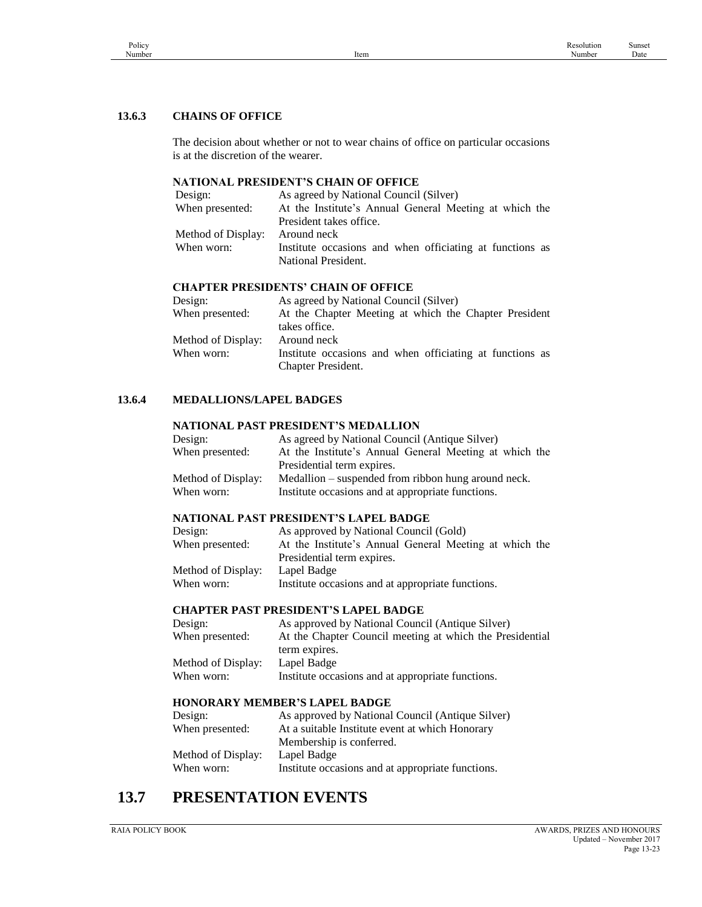## **13.6.3 CHAINS OF OFFICE**

The decision about whether or not to wear chains of office on particular occasions is at the discretion of the wearer.

#### **NATIONAL PRESIDENT'S CHAIN OF OFFICE**

| Design:            | As agreed by National Council (Silver)                   |
|--------------------|----------------------------------------------------------|
| When presented:    | At the Institute's Annual General Meeting at which the   |
|                    | President takes office.                                  |
| Method of Display: | Around neck                                              |
| When worn:         | Institute occasions and when officiating at functions as |
|                    | National President.                                      |

## **CHAPTER PRESIDENTS' CHAIN OF OFFICE**

| Design:            | As agreed by National Council (Silver)                                         |
|--------------------|--------------------------------------------------------------------------------|
| When presented:    | At the Chapter Meeting at which the Chapter President<br>takes office.         |
| Method of Display: | Around neck                                                                    |
| When worn:         | Institute occasions and when officiating at functions as<br>Chapter President. |

## **13.6.4 MEDALLIONS/LAPEL BADGES**

#### **NATIONAL PAST PRESIDENT'S MEDALLION**

| Design:            | As agreed by National Council (Antique Silver)         |
|--------------------|--------------------------------------------------------|
| When presented:    | At the Institute's Annual General Meeting at which the |
|                    | Presidential term expires.                             |
| Method of Display: | Medallion – suspended from ribbon hung around neck.    |
| When worn:         | Institute occasions and at appropriate functions.      |

## **NATIONAL PAST PRESIDENT'S LAPEL BADGE**

| Design:            | As approved by National Council (Gold)                 |
|--------------------|--------------------------------------------------------|
| When presented:    | At the Institute's Annual General Meeting at which the |
|                    | Presidential term expires.                             |
| Method of Display: | Lapel Badge                                            |
| When worn:         | Institute occasions and at appropriate functions.      |

#### **CHAPTER PAST PRESIDENT'S LAPEL BADGE**

| As approved by National Council (Antique Silver)         |
|----------------------------------------------------------|
| At the Chapter Council meeting at which the Presidential |
| term expires.                                            |
| Lapel Badge                                              |
| Institute occasions and at appropriate functions.        |
|                                                          |

#### **HONORARY MEMBER'S LAPEL BADGE**

| Design:            | As approved by National Council (Antique Silver)  |
|--------------------|---------------------------------------------------|
| When presented:    | At a suitable Institute event at which Honorary   |
|                    | Membership is conferred.                          |
| Method of Display: | Lapel Badge                                       |
| When worn:         | Institute occasions and at appropriate functions. |

# **13.7 PRESENTATION EVENTS**